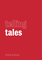# telling

trails - tales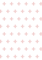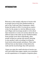# INTRODUCTION

Welcome to this sample collection of stories told by people from across East Dunbartonshire as part of the Trails and Tales Programme, which kicked off earlier in 2014. It is my job as creative writer for the project to visit the different towns and villages and encourage people to write about their memories or create new stories about the very different places that make up East Dunbartonshire. Some people wrote these individually, other people worked as a group with myself, listening to one another's tales recording in writing the local stories about people and places. These tales will feed into an idea banks to help inform the trails and the local heritage they will represent.

I hope you enjoy the small selection of stories you will read within these pages, maybe even remember an old acquaintance or recognise a forgotten place.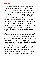#### **Introduction**

For me the whole process of travelling around listening to the story-tellers has been educational, fascinating, emotional and at times incredible. The lives of working people in the not too distant past, whether through the sheer physical effort required to pour tons of molten iron in the Lion Foundry in Kirkintilloch, or the prospect of Twechar miners working in pits for 12 hours at a time, already seems unimaginable to us today. The Trails and Tales project hopes to capture these realities so they are not lost for generations to come. There has also been a real sense of community in many places, not least in the smaller villages of Harestanes, Twechar and Campsie. Shared experiences of growing up in new estates, mining communities and during the Second World War make for strong collective memories, and I hope you enjoy recognising some of what is described in the stories that follow. There have also been many laughs along the way, not least when I was duped by Coachie Bear in Twechar. There was a real sense of sadness too about people moving from Springburn and many of the residents of Kirkintilloch and Bishopbriggs talked about the destruction of their old community with roads driven through the middle of it, whilst also appreciating the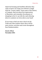improved housing and healthier lifestyles they came to know. So I hope you will have a laugh with the "Lenzie Ladies", learn some of the history of Campsie, find out about first impressions of Bearsden, and remember the pleasure of shopping in the Co-op with the cash whizzing about in canisters on wires above your head!

If you want to find out more check out the Trails and Tales website where there will be more stories, activities and events throughout East Dunbartonshire.

*Annette Allison* **November 2014**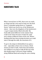# HARESTANES TALES

When I moved here in 1965, there were no roads, no shops and the cows used to look over the back fence! I remember going down to "Langmuir Stores" which was run by two of the Henderson sisters – they were the daughters of the landowners – to get 2 empty bottles filled with milk. The fresh milk tasted different in the summer than it did in the winter because of what the cattle were eating at different times of the year. Winter feeding must have been turnips because you could taste it through the milk, the sweetness of it.

To get to the shops in Kirkintilloch was quite a trek – especially as there were no buses, which meant you had to walk. I had twins and another two children so we had to walk all that way with this double pram! I will never forget walking along Hillhead Road and seeing the cows coming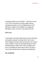running towards us in the field – I had never seen a cow 'till I moved here and the sight of them charging towards us was as frightening as if we had been caught in the middle of a stampede! Needless to say, we took to our heels and ran!

# *Dawn Grey*

I remember moving to Harestanes in the early days and people saying you always knew who came from Glasgow because their doorsteps were always clean. I think it came from people living in closes and following a really strict rota for taking your turn at washing the stairs there! There was also a rota in the tenements for using the washing line.

## *Rose McMullan*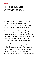# History of Harestanes

**Harestanes Reading Group** *Harestanes Primary School (The Huts)* 

The group which I belong to, "The Friends Group" meet weekly on a Sunday at the Baptist Church, but the Community Centre is used extensively throughout the week.

The two halls were built as school huts probably in the 1970's. Then as school rolls fell again, and the school building was again big enough, the huts were not in use. The Residents Association managed to get access and developed the premises for use as a Community Centre.

I was involved along with other people in a six-year period of work fighting to try to get a permanent community centre built. We paid for architects' drawings, complied with legal requirements to have the site drilled and tested, as it was mining land, and we managed to secure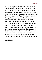£100,000 of government funds. However, after a lot of work by a lot of people – we still have all the plans, application forms and the associated paperwork – the people of Harestanes were gravely disappointed not to secure extra funding we needed from the lottery. I think people put so much into the application because for Harestanes to get a proper, permanent community Centre would have meant so much and given the local people a community building to match their community spirit. The proximity of other council funded centres may have gone against Harestanes, but we are not certain, but there is huge disappointment that Harestanes cannot secure lottery funding or local government funding; central government funding itself is not enough to provide such a community-spirited area with a community centre.

*Ian Anderson*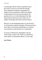Continuing with the theme of gardens from last week, it was very true that the people from Glasgow developed a reputation for being very keen gardeners. When the people in Harestanes were all council tenants, the gardens were very well maintained, but this decreased as the houses were taken out of public ownership and sold to private buyers.

However, at the beginning when we moved here, we all learned to garden together. We learned from each other's successes and mistakes, we shared our experience and learned as a community.

In terms of allotments, Springburn was the closest place to have any. However, allotments came about in Harestanes about 2-3 years ago.

*Jean Watson*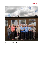

Harestanes Reading Group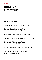# TWECHAR TALES

**Tewchar Reading Group** *Twechar Healthy Living Centre* 

# **Sunday at ma Grannys**

Sunday at ma Grannys wiz a special day

Opening the big heavy front door ye were greeted wi the smell

A pot ae soup simmerin on the back tae back

Ah filled up her teapot and sat it next tae the fire

The digestive biscuits and a box ae malteasers sat oan the table next tae her

The auld valve radio wiz playin sleepy music

She read the Sunday Post and ah read a book while we baith waited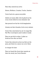Then they started tae arrive

Sisters, Brithers, Cousins, Uncles, Aunties

Uncle Jack wiz a great storyteller

Adults an weans alike wid sit glued tae his every word, believin every fantastic tale

that poured oot fae his vivid imagination

Granny sat there beamin, lovin every minute

Uncle Alex entertained us aw wi songs like The Wee Cock Sparra and Coulters Candy

Then we got fed in relays. A plate ae broth an two slice ae breid

Uncle Alex showed us how tae fish oot the peas, put them in a saucer an cover them

in vinegar fur later

Then we heard the front door openin an there he stood, ma Uncle Booster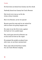#### **Twechar**

He bent doon an kissed ma Granny oan the cheek

Naebody kissed ma Granny but Uncle Booster

She loved every wan ae us bit she wizny a kissy wummin

But it wiz Booster, an he wiz special

Booster goat his soup and we aw waited fur whit we knew wiz gonny happen next

He came in tae the livin room, against the back wa' wiz a pedal organ

The couch goat moved an Booster sat on the stool in front ae the organ

He pumped the pedals an played tune after tune, we sat there mesmerised

Then came whit ah hud been waitin fur, ma Uncle Booster singing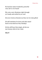He hud the maist wonderful, powerful voice ah've ever heard

His voice sent vibrations right through yer boady and settled in yer soul

Ah never tired ae listenin tae him, he wiz truly gifted

Ah still sumtimes lie doon and take masel back in ma mind tae they Sundays

Ah kin still hear him singin, ah kin see ma Granny sittin in her chair.

*Skip H*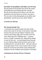**My Father & Grandfather with Buller, the Pit Pony** The pit ponies lived all their lives down the mines. Eventually they went blind with the coal dust. The pit owners did not feed them, it was the men themselves who fed them out of their own piece. The two men in this photograph are my father and grandfather, and the pony was called "Buller".

# *Liz Smith (nee Murray)*

# **The Annual Seaside Trip**

...I remember the annual seaside trip when all the weans went away for the day. It was always a Saturday because the men from the Miners' Institute came round on the Friday night with two half crowns for every child. That was 5 shillings each – a fortune then to a child! I remember too, taking all the things to cater for the trip – we took banana boxes because 6 rows of dinner plates fitted perfectly, and we had breadboards for carrying the food – rolls and cakes in waxy paper bags. It was a real occasion with so many buses for each street and all the weans putting their streamers out the windows and waving to everybody!

# *Contributions by Twechar Writers & Residents*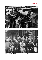

Top: Buller the Pit Pony / Bottom: Barhill Row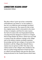# Lennoxtown Reading Group

*Lennoxtown Library* 

The place where I grew up in has a somewhat schizophrenic way about it. Let me explain, it has two very different and seemingly unrelated names it is known by. The reason for this is that the original name which is shrouded in the mists of time is Campsie, and then for some reason the Earl of Lennox who was bequeathed land by rescuing from the dungeons of peril on a winged bird of hope Robert the Bruce, which was over half a century from the railways coming to the village and in his infinite wisdom, probably maintain his prestige and the last vestiges of real power he decided to call the village after himself when a station was set up here in 1867. Now due to the radical nature of the villagers they baulked at the idea of a name being imposed on them by their so-called Lord and Master who got the idea from being inculcated in the Feudal System which fame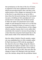into prominence at the time of the Act of Union, as opposed to the more egalitarian clan system which was prevalent before then, and due to the radical nature of the villagers as espoused in one of the first Co-ops which was set up in 1812, a time when the favoured starting of the movement was just a twinkling in their grandparent's eyes. and the first to introduce the dividend system in 1826, the name of Lennoxtown never really caught on and among the locals as it is to this day known as Campsie by them, of course it is also a remembrance of the radical history of this village, which is another reason why it is not called after somebody who wanted to increase his prestige at a time when his real power had waned due to the dark satanic mills of the Industrial Revolution.

Also the oldest Catholic Church outside a major city was established here in 1846, initially called St Paul's but then in 1905 with the opening of the church in the next village along the Glazert, incidentally the highest variable water course in Europe and then around the time of the railway the town hall was built in 1867, then just after the change of name of St Machan's who was buried up in the clachan, along with the perfidious James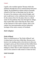#### **Campsie**

Lapslie, who testified against Thomas which the pathway through the area is named along with more rightly, the Strathkelvin railway which eventually closed in 1967 due to Beeching, but for the last 16 years of its existence only carried freight, and just to add more to the confusion that it seems to be the raison d'etre for the place there is a third name for the pathway that runs through the village, that is john Muir, thus reflecting the three sides of the character of the entire country, this is, the radical, the internationalist and the industrial heritage of the entire country of Scotland.

## *Mark Callaghan*

# **Field of Blood**

There is a field known as "The Field of Blood" and it relates back to the time of Rob Roy. His men were known to be stealing cattle so the drovers in this area arranged a party, got them drunk and then killed them. There was one escapee however, and he survived by hiding in a bush. There is still a bush there to this day and it is the custom to walk round it 3 times for luck.

# *Isobel Cartwright*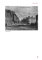

Lennoxtown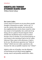# KIRKINTILLOCH THURSDAY AFTERNOON READING GROUP

*William Patrick Library*

# **The Lenzie Ladies**

Lenzie used to be known as an area where people thought of themselves as quite "well-to-do". It was the custom when anyone new moved into the neighbourhood to invite them round for what was meant to be hospitality, but could end of up being a bit of a palaver! Social etiquette which should have facilitated such a social occasion became a bit of a burden. If you invited anyone to your house in the morning it had to be for coffee, whereas if they came in the afternoon, it had to be for tea. The afternoon question was "India or China?" which was not really a question at all, because the only acceptable response was "China"!

Added to this set of hurdles, was the dilemma of food being served which meant juggling teacup, saucer and possibly sandwiches, cakes,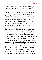biscuits or other socially acceptable offerings appropriate of course, for the time of day.

Other activities of the Lenzie Ladies included being a presence on the Woodilee Hospital Board. From a student nurse's point of view, a visit from these women at that time *(c 19..)* was akin to watching a royal tour of the hospital! The women themselves were always dressed in the latest affluent fashions, and typical dress included gloves, felt hat and wool coats.

The other side to the coin of this story though was often seen in witnessing the local shops and businesses in Lenzie. One story is told of how a wealthy woman went into the fishmongers and asked for salmon, only to be told by the young lady serving her that she had been given into trouble for giving her haddock the week before while she still had a large outstanding bill. Oblivious to opinion being formed behind her by other customers present in the shop, the bold Lenzie lady proffered the response "well, if I pay you for last week's haddock can I have this week's salmon?", with the matter of the large outstanding bill casually overlooked! The poor fishmonger was not alone in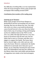#### **Kirkintilloch**

the difficulty of settling bills, as it was reputed that when the local newsagent closed, some people had newspaper bills totalling around £200!

# *Contributions from members of the reading group*

## **Growing up in Torrance**

While many people moved from Glasgow to Kirkintilloch and the surrounding area for better housing, that was not always the case. One lady who went on to have a successful professional career herself moved to the area when her father had to find a way of earning a living and bringing up his two children back in the 1940's on his own. As a child, this lady had lived in a very nice house in Scotstoun with all mod cons, but her father had to move to Torrance and take over a piggery to support his family. The house there had no electric light, a dry toilet and one cold tap in the house. However, undaunted, the family soldiered on and made more than just a go of things, eg on a Saturday morning the man would drive into Kirkintilloch and drop the children at the library where they read widely and purchases of magazines were made at the local newsagent.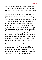Another great help with the children's education was in the form of books loaned to the children by friends of their father in the 'Young Communists'.

As far as schooling at this time was concerned, boundaries and catchment areas were factors then as much as they are today. Because the family lived in Torrance which came within Stirlingshire Council at that time, Lenzie Academy would not accept the children as pupils. However, one notable feature in the development of private schooling is worth mentioning here. Whilst Lenzie Academy had a very good reputation, it benefitted from having no social discrimination. Private schooling was really developed for those who did not perform well in state schools and where the parents had the funds available to pay for them to be educated "privately", i.e. in smaller classes, where 1:1 additional support was required.

But back to our two resourceful youngsters in Torrance! The enterprising pair happened to live there at a time when there were three pubs whilst neighbouring areas were "dry". This meant people coming into Torrance for a drink, and the youngsters would keep a watchful eye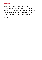#### **Kirkintilloch**

out for those coming out of the pub at night. Courting couples would go for a stroll along Kelvin Bank, and the next day a good scour of the river banks could produce a few dropped coins which funded a trip to the Black Bull cinema!

*Jennifer Campbell*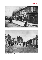

Lenzie Post Office and Shops



Top: Lenzie Main Street / Bottom: Torrance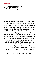# VIRGO READING GROUP *William Patrick Library*

**Kirkintilloch and Bishopbriggs Workers at Cowlairs** The railway line that fed into Cowlairs brought in workers from Kirkintilloch, when there was a station at Eastside, and also from Bishopbriggs. Of course the railway line that existed then also had stations at Milton of Campsie, Blanefield and Strathblane too. The number of people working at Cowlairs was vast and when they went in and out of work, it looked like football match crowds. Cowlairs made and repaired rolling stock for the railway company that owned it, similar work went on at St Rollox, while Hyde Park and Atlas built engines to sell to the rest of the world. Looking back over the years, that railway line figures in a lot of our history and it was also used to bring back some of the wounded from the First World War to Springburn Hospital.

I remember the sight of the railway engines that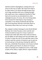had been built in Springburn coming down our street on the way to India. The tram wires had to be taken down to let them through because they were huge machines that were coming through this small town, they completely dwarfed it! They had to be moved on an articulated lorry after midnight because of course, the wires being taken down meant the trams had to stop running. I remember it was always Pickfords that had the job of moving them and they took them down to Finnieston where they were sent out to India.

The original Cowlairs belonged to the North British Railway, but it later became a store and the new works was built on top of it. It was a system of tunnels and really dark down there and you had to put the lights on and stamp your feet and make a bit of noise to chase the rats! It was said that some of the workers used the system of tunnels to get in and out of work and go to the pictures during the shift! In this area, somebody from almost every house worked on the railway and I know of a block of 4 houses where 10 people were employed across a wide range of jobs in the offices, engine drivers, wagon builders.

*William McDermid*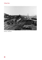

Cowlair Workers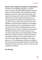**History of the Talking Newspapers in Kirkintilloch** The idea for the talking newspaper, an edited audio version of the Kirkintilloch Herald, was first acted on by Myra Bailey, Alice McKenzie and Pat McKinley and a few other like-minded folk. They began by meeting in the staff room of the William Patrick Library and would read aloud from the newspaper and record using 1 microphone and 1 recorder. The next stage was moving to the P & O Building on Eastside and working in a Portakabin inside a warehouse. For soundproofing we lined the walls of the cabin with old egg boxes, but we still picked up the noise of footsteps and the kettle clicking! We had more recorders by then, but it was still a really basic way of doing things with the technician sitting outside the window and giving the thumbs up when he was ready! However, we have since gone digital in the past 2 years, have grown to 4 recording groups and have an audience that stretches across Campsie, Kilsyth, Twechar and people beyond the local area. There are now around a hundred recipients.

# *Pat McKinlay*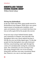# KIRKINTILLOCH TUESDAY EVENING READING GROUP

*William Patrick Library*

# **Moving into Kirkintilloch**

In the late 1950s and 1960s, many people moved to Kirkintilloch from Glasgow. While there was a great improvement in housing and a healthier, more open environment, there is no doubt that there was loss as well as gain felt by the people who moved.

It was not easy to leave behind friends, family and community in Glasgow, and especially with Springburn there was a great sadness because it felt like the area was being ripped apart. To this day people feel that Springburn was really destroyed with the council putting roads right through the centre of it and physically tearing the community apart. The community you were moving to was also being changed with a lot of new housing being built, and there was some resentment about that. However, on a one to one basis, people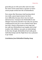generally got on with each other and over time the sense of loss eased and to a greater or lesser extent people settled into life in Kirkintilloch.

New estates like Harestanes had housing which was really a great improvement, but there were difficulties because there was not much infrastructure. Transport into Kirkintilloch and Glasgow was by bus and there was only one an hour, complicated by the fact it was a limited stop! There was only 1 shop in Harestanes at one stage and the walk into Kirkintilloch was lengthy and in bad weather with children, was quite an undertaking! At this time though, Kirkintilloch had really good, individual shops and the High Street was a pleasure to go round.

# *Contributions from Kirkintilloch Reading Group*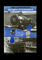

Two Communities Book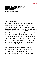# KIRKINTILLOCH THURSDAY EVENING GROUP

*William Patrick Library*

## **The Lion Foundry**

I worked in the Foundry offices and was really aware of the confidential nature of the work carried out. The Lion Foundry made large scale items and their decorative cast iron work is known and famed throughout the world. While I worked there they were the major employer in the local area. They also made telephone boxes, electric boxes and did both floor and machine moulding. One of the most iconic objects the Foundry made must be the telephone box, and the style of the last one was shrouded in secrecy. The Star Foundry made smaller things items and components.

The location of the Foundry was due to the position of the canal which brought coal in on barges and sent it down the chute to the Foundry, and also the railway which was nearby.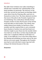#### **Kirkintilloch**

The skill of the workmen was really something to behold and I remember the craftsmanship of the hand moulders in particular. The intricacy of the work they carried out was based on drawings which came down from the Drawing office and were in themselves works of art. The sheer physical exertion that most of the jobs in the Foundry required was overwhelming. You could always identify former Foundry workers in later life because of the toll the work had taken on their bodies. One elderly man walked almost bent double, he had been a floor moulder and this required him to carry extremely heavy buckets of molten iron and then bend over with the weight to pour them into the moulds which were laid out on the floor. In those days health and safety was a completely different world than it is today. It was difficult to see in the Stoor Shop where the dusting and polishing was done and yet the men did not even wear masks. Throughout the Foundry men had to work with their trouser legs tied with string at the bottom because of the rats.

#### *Anonymous*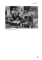

Lion Foundry Workers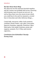# **The Kerr Street Sweet Shop**

The shop was two but and bens knocked together, and the counter was probably laid across a doorway with ha'penny trays of sweets set out on it. As well as these there were the sweets in jars which you could buy in 2oz and 4oz measures, coveted bars of chocolate and other delicious things…..

Candy balls, macaroon, tablet, lucky potatoes, rosebuds, Parma Violets, cola cubes, wine gums, liquorice fountains, sugarolly, Pontefract cakes, black jacks, fruit salads, ha'penny, penny and tuppeny caramels, Fry's 5 Boys and sweetie cigarettes…

*Contributions from Kirkintilloch Thursday Evening Group*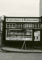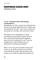# BISHOPBRIGGS READING GROUP

*Bishopbriggs Library*

# **Co-op –Auchinairn Road, Bishopbriggs and Springburn.**

Springburn was where you got your dividend and spent it in the large Department Store. Money was not handled by the staff – there was a cashier who put money in a container that went into a chute.

My mother went to Springburn to spend her dividend on goods like clothes and wool. She collected her dividend by shopping for groceries in the Auchinairn Co-op. Everyone shopped there as the dividend was very important for working class families.

When I was a wee girl I remember being awed by the Co-op. All the cabinets were in a dark wood with white marble topped counters. The cashier sat at a desk in a glass booth which was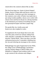raised above the counters almost like an altar.

The food was large too- butter in barrel shaped lumps, cheese in huge slabs and bacon came in a large shoulder. Customers got their messages at the counters; your order of butter was made into a pat using wooden paddles, cheese cut to order with cheese wires and bacon sliced on a slicing machine to the thickness you wanted. Everything was put into greaseproof paper and then a paper bag.

Dry goods like rice, lentils, peas and beans were also weighed to order.

To supplement the local shops there were also vans that came round our scheme selling fruit, rolls, and fish. I remember the Dalziel's van they shouted "Dalziel Rolls". There was also a van that sold general groceries I remember climbing into the van and ordering my messages at the counter.

Bishopbriggs was quite fragmented in the 1950s, the village areas of Bishopbriggs, Auchinairn and the mining villages of Mavis Valley and Jellyhill so I suppose food retailers took to vans to get custom in the schemes and villages.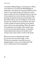#### **Bishopbriggs**

I remember Bishopbriggs as a farming area. When I was about five I moved from Bishopbriggs to Auchinairn. Just down the road was Gilchrist's farm I have a very strong memory of being sent to the farm for milk, this was terrifying because of the size of the animals, the cows in the byre and the dogs running around the farmyard seemed huge to me. My mother had no fear of sending me to the farm because she worked on the local farms. She used to pick a squad of women and they were picked up in a lorry to go tattie picking. When the tatties were picked an even smaller select squad went to work in the local market garden. I remember being embarrassed because my mother wore trousers and a man's shirt to work on the farms.

When we went for a big shop dad would go too and carry my mum's bags- in the 50s this was unusual as men did not carry shopping bags. It was a very formal time Dad wore a collar and tie when shopping!!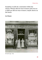Josephine recalls the constraints within the classes. Women did not wear trousers and even as a child you did not wear trousers, maybe shorts on the beach.

# *Liz Emans*



Bishopbriggs shop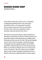# BEARSDEN READING GROUP

*Brookwood Library*

In the 1960s, before the Clean Air Act, I remember travelling through Westerton in the smog with my father in the car. At some point he would have to ask me to get out of the car and walk at the side of the road so he would know where the grass verge was and not drive into it!

The history of nurseries and pre-school education in Bearsden is interesting. In the late 1940s nurseries were generally used by economically poorer families where both parents had to go out to work. This has all changed now of course, and I remember a particular feature of Bearsden nursery/playgroup places in the 1980's and 1990's. After the discovery of oil in the North Sea, BP set up an office in Glasgow and a lot of Americans came to work here. They were given a list of suitable places to live by their company and Bearsden was on this list. This meant a high demand for nursery places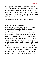and a system known as "the lucky hat" was devised with children's names being drawn from it...needless to say a pattern emerged of luck running through certain groups and not through others! Later, the families were absorbed into the community, but at first they formed a distinctive group, known as "The BP Wives"!

## *Contributions from the Bearsden Reading Group*

### **First Impressions of Bearsden**

We arrived in Scotland in springtime on the last ever Air Zimbabwe flight, which surprisingly enough was also one of the best we had ever flown on. We really should have moved out of that desperate country earlier, but because of one elderly Jack Russell and the fact that we honestly imagined that 'things would improve', we hung on and on! However once our pet had died and our grandchildren had followed their father to Scotland, we knew that the time had come for us to leave Rhodesia – now Zimbabwe – a country in which we had lived for nearly all our lives, and which was once known to be the bread-basket of Africa. The last two years had been hard ones for us as there was little food; no municipal water and electricity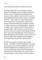#### **Bearsden**

came on and went off with a mind of its own.

Arriving in Bearsden was certainly a cultural shock, for although we had travelled extensively, the last years in Zimbabwe had deadened our memory of the outside world. So here we were in this delightful and pretty town, where everything 'worked' – water came out of taps, lights shone when switched on, the telephone worked and proper food and clothing was available in shops. I vividly remember our granddaughter taking us to ASDA, and I could not believe the fact that we would be able to BUY what was on the shelves, and more than ever that the same things would be there next week. Hoarding tins of food became a habit during those first months, and we have since found out that other people fleeing Zimbabwe have experienced exactly the same problem.

But the best surprise of all was the Scottish people – and their wonderful kindness to us from the moment of our arrival. Neighbours and their friends brought warm clothing for us to try on – and to actually keep if they fitted! The people of Scotland are a breed of their own, and we are so very privileged to now be part of them and this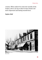country. When asked if we miss the warmth of the tropics, all we can say is that we have found a far more important and lasting warmth here.

*Daphne Kidd*



Bearsden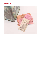#### **Reading Groups**

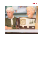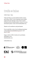

©2014 Trails + Tales

Trails and Tales is an East Dunbartonshire Leisure and Culture (EDLC) Trust Programme and is kindly supported by the Heritage Lottery Fund, Creative Scotland and East Dunbartonshire Council. For more information please contact info@trailsandtales.org

Thanks to all contributors and participants.

If you would like to join a local reading group please contact libraries@eastdunbarton.gov.uk or call 0141 777 3143

Image credits to EDLC Archives & Local Studies edlcimages.co.uk thekirkystudio.com

trailsandtales.org







sustainable thriving achieving East Dunbartonshire Council www.eastdunbarton.gov.uk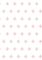